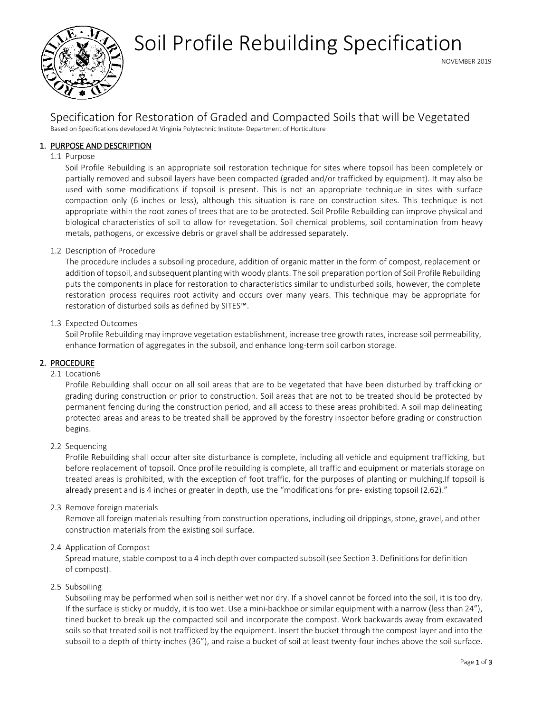

# Soil Profile Rebuilding Specification

# Specification for Restoration of Graded and Compacted Soils that will be Vegetated Based on Specifications developed At Virginia Polytechnic Institute- Department of Horticulture

# 1. PURPOSE AND DESCRIPTION

## 1.1 Purpose

Soil Profile Rebuilding is an appropriate soil restoration technique for sites where topsoil has been completely or partially removed and subsoil layers have been compacted (graded and/or trafficked by equipment). It may also be used with some modifications if topsoil is present. This is not an appropriate technique in sites with surface compaction only (6 inches or less), although this situation is rare on construction sites. This technique is not appropriate within the root zones of trees that are to be protected. Soil Profile Rebuilding can improve physical and biological characteristics of soil to allow for revegetation. Soil chemical problems, soil contamination from heavy metals, pathogens, or excessive debris or gravel shall be addressed separately.

# 1.2 Description of Procedure

The procedure includes a subsoiling procedure, addition of organic matter in the form of compost, replacement or addition of topsoil, and subsequent planting with woody plants. The soil preparation portion of Soil Profile Rebuilding puts the components in place for restoration to characteristics similar to undisturbed soils, however, the complete restoration process requires root activity and occurs over many years. This technique may be appropriate for restoration of disturbed soils as defined by SITES™.

### 1.3 Expected Outcomes

Soil Profile Rebuilding may improve vegetation establishment, increase tree growth rates, increase soil permeability, enhance formation of aggregates in the subsoil, and enhance long-term soil carbon storage.

# 2. PROCEDURE

### 2.1 Location6

Profile Rebuilding shall occur on all soil areas that are to be vegetated that have been disturbed by trafficking or grading during construction or prior to construction. Soil areas that are not to be treated should be protected by permanent fencing during the construction period, and all access to these areas prohibited. A soil map delineating protected areas and areas to be treated shall be approved by the forestry inspector before grading or construction begins.

### 2.2 Sequencing

Profile Rebuilding shall occur after site disturbance is complete, including all vehicle and equipment trafficking, but before replacement of topsoil. Once profile rebuilding is complete, all traffic and equipment or materials storage on treated areas is prohibited, with the exception of foot traffic, for the purposes of planting or mulching.If topsoil is already present and is 4 inches or greater in depth, use the "modifications for pre- existing topsoil (2.62)."

### 2.3 Remove foreign materials

Remove all foreign materials resulting from construction operations, including oil drippings, stone, gravel, and other construction materials from the existing soil surface.

### 2.4 Application of Compost

Spread mature, stable compost to a 4 inch depth over compacted subsoil (see Section 3. Definitions for definition of compost).

### 2.5 Subsoiling

Subsoiling may be performed when soil is neither wet nor dry. If a shovel cannot be forced into the soil, it is too dry. If the surface is sticky or muddy, it is too wet. Use a mini-backhoe or similar equipment with a narrow (less than 24"), tined bucket to break up the compacted soil and incorporate the compost. Work backwards away from excavated soils so that treated soil is not trafficked by the equipment. Insert the bucket through the compost layer and into the subsoil to a depth of thirty-inches (36"), and raise a bucket of soil at least twenty-four inches above the soil surface.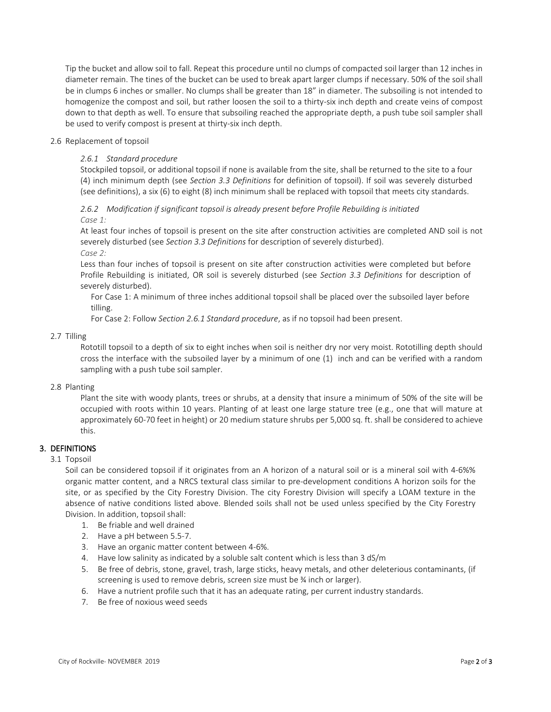Tip the bucket and allow soil to fall. Repeat this procedure until no clumps of compacted soil larger than 12 inches in diameter remain. The tines of the bucket can be used to break apart larger clumps if necessary. 50% of the soil shall be in clumps 6 inches or smaller. No clumps shall be greater than 18" in diameter. The subsoiling is not intended to homogenize the compost and soil, but rather loosen the soil to a thirty-six inch depth and create veins of compost down to that depth as well. To ensure that subsoiling reached the appropriate depth, a push tube soil sampler shall be used to verify compost is present at thirty-six inch depth.

## 2.6 Replacement of topsoil

# *2.6.1 Standard procedure*

Stockpiled topsoil, or additional topsoil if none is available from the site, shall be returned to the site to a four (4) inch minimum depth (see *Section 3.3 Definitions* for definition of topsoil). If soil was severely disturbed (see definitions), a six (6) to eight (8) inch minimum shall be replaced with topsoil that meets city standards.

# *2.6.2 Modification if significant topsoil is already present before Profile Rebuilding is initiated Case 1:*

At least four inches of topsoil is present on the site after construction activities are completed AND soil is not severely disturbed (see *Section 3.3 Definitions* for description of severely disturbed). *Case 2:*

Less than four inches of topsoil is present on site after construction activities were completed but before Profile Rebuilding is initiated, OR soil is severely disturbed (see *Section 3.3 Definitions* for description of severely disturbed).

For Case 1: A minimum of three inches additional topsoil shall be placed over the subsoiled layer before tilling.

For Case 2: Follow *Section 2.6.1 Standard procedure*, as if no topsoil had been present.

# 2.7 Tilling

Rototill topsoil to a depth of six to eight inches when soil is neither dry nor very moist. Rototilling depth should cross the interface with the subsoiled layer by a minimum of one (1) inch and can be verified with a random sampling with a push tube soil sampler.

# 2.8 Planting

Plant the site with woody plants, trees or shrubs, at a density that insure a minimum of 50% of the site will be occupied with roots within 10 years. Planting of at least one large stature tree (e.g., one that will mature at approximately 60-70 feet in height) or 20 medium stature shrubs per 5,000 sq. ft. shall be considered to achieve this.

# 3. DEFINITIONS

### 3.1 Topsoil

Soil can be considered topsoil if it originates from an A horizon of a natural soil or is a mineral soil with 4-6%% organic matter content, and a NRCS textural class similar to pre-development conditions A horizon soils for the site, or as specified by the City Forestry Division. The city Forestry Division will specify a LOAM texture in the absence of native conditions listed above. Blended soils shall not be used unless specified by the City Forestry Division. In addition, topsoil shall:

- 1. Be friable and well drained
- 2. Have a pH between 5.5-7.
- 3. Have an organic matter content between 4-6%.
- 4. Have low salinity as indicated by a soluble salt content which is less than 3 dS/m
- 5. Be free of debris, stone, gravel, trash, large sticks, heavy metals, and other deleterious contaminants, (if screening is used to remove debris, screen size must be ¾ inch or larger).
- 6. Have a nutrient profile such that it has an adequate rating, per current industry standards.
- 7. Be free of noxious weed seeds